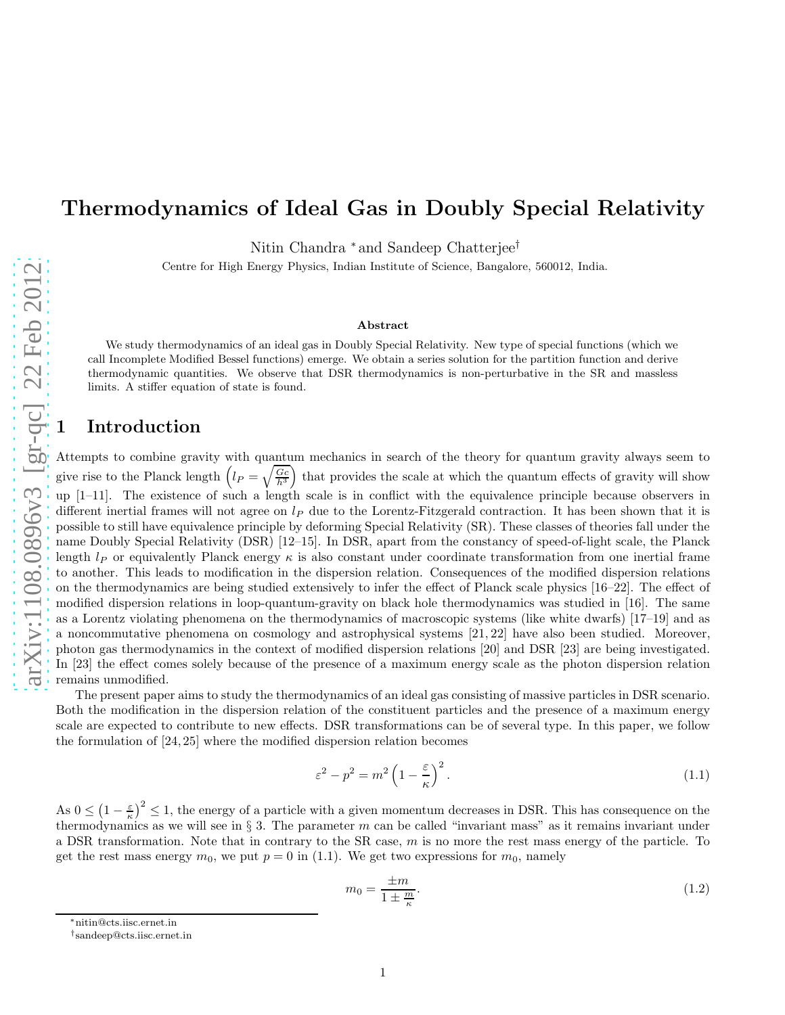# Thermodynamics of Ideal Gas in Doubly Special Relativity

Nitin Chandra <sup>∗</sup> and Sandeep Chatterjee<sup>†</sup>

Centre for High Energy Physics, Indian Institute of Science, Bangalore, 560012, India.

#### Abstract

We study thermodynamics of an ideal gas in Doubly Special Relativity. New type of special functions (which we call Incomplete Modified Bessel functions) emerge. We obtain a series solution for the partition function and derive thermodynamic quantities. We observe that DSR thermodynamics is non-perturbative in the SR and massless limits. A stiffer equation of state is found.

### **Introduction**

Attempts to combine gravity with quantum mechanics in search of the theory for quantum gravity always seem to give rise to the Planck length  $(l_P = \sqrt{\frac{G_c}{h^3}})$  that provides the scale at which the quantum effects of gravity will show up [1–11]. The existence of such a length scale is in conflict with the equivalence principle because observers in different inertial frames will not agree on  $l_P$  due to the Lorentz-Fitzgerald contraction. It has been shown that it is possible to still have equivalence principle by deforming Special Relativity (SR). These classes of theories fall under the name Doubly Special Relativity (DSR) [12–15]. In DSR, apart from the constancy of speed-of-light scale, the Planck length  $l_P$  or equivalently Planck energy  $\kappa$  is also constant under coordinate transformation from one inertial frame to another. This leads to modification in the dispersion relation. Consequences of the modified dispersion relations on the thermodynamics are being studied extensively to infer the effect of Planck scale physics [16–22]. The effect of modified dispersion relations in loop-quantum-gravity on black hole thermodynamics was studied in [16]. The same as a Lorentz violating phenomena on the thermodynamics of macroscopic systems (like white dwarfs) [17–19] and as a noncommutative phenomena on cosmology and astrophysical systems [21, 22] have also been studied. Moreover, photon gas thermodynamics in the context of modified dispersion relations [20] and DSR [23] are being investigated. In [23] the effect comes solely because of the presence of a maximum energy scale as the photon dispersion relation remains unmodified.

The present paper aims to study the thermodynamics of an ideal gas consisting of massive particles in DSR scenario. Both the modification in the dispersion relation of the constituent particles and the presence of a maximum energy scale are expected to contribute to new effects. DSR transformations can be of several type. In this paper, we follow the formulation of [24, 25] where the modified dispersion relation becomes

$$
\varepsilon^2 - p^2 = m^2 \left( 1 - \frac{\varepsilon}{\kappa} \right)^2. \tag{1.1}
$$

As  $0 \leq (1 - \frac{\varepsilon}{\kappa})^2 \leq 1$ , the energy of a particle with a given momentum decreases in DSR. This has consequence on the thermodynamics as we will see in  $\S 3$ . The parameter m can be called "invariant mass" as it remains invariant under a DSR transformation. Note that in contrary to the SR case,  $m$  is no more the rest mass energy of the particle. To get the rest mass energy  $m_0$ , we put  $p = 0$  in (1.1). We get two expressions for  $m_0$ , namely

$$
m_0 = \frac{\pm m}{1 \pm \frac{m}{\kappa}}.\tag{1.2}
$$

<sup>∗</sup>nitin@cts.iisc.ernet.in

<sup>†</sup> sandeep@cts.iisc.ernet.in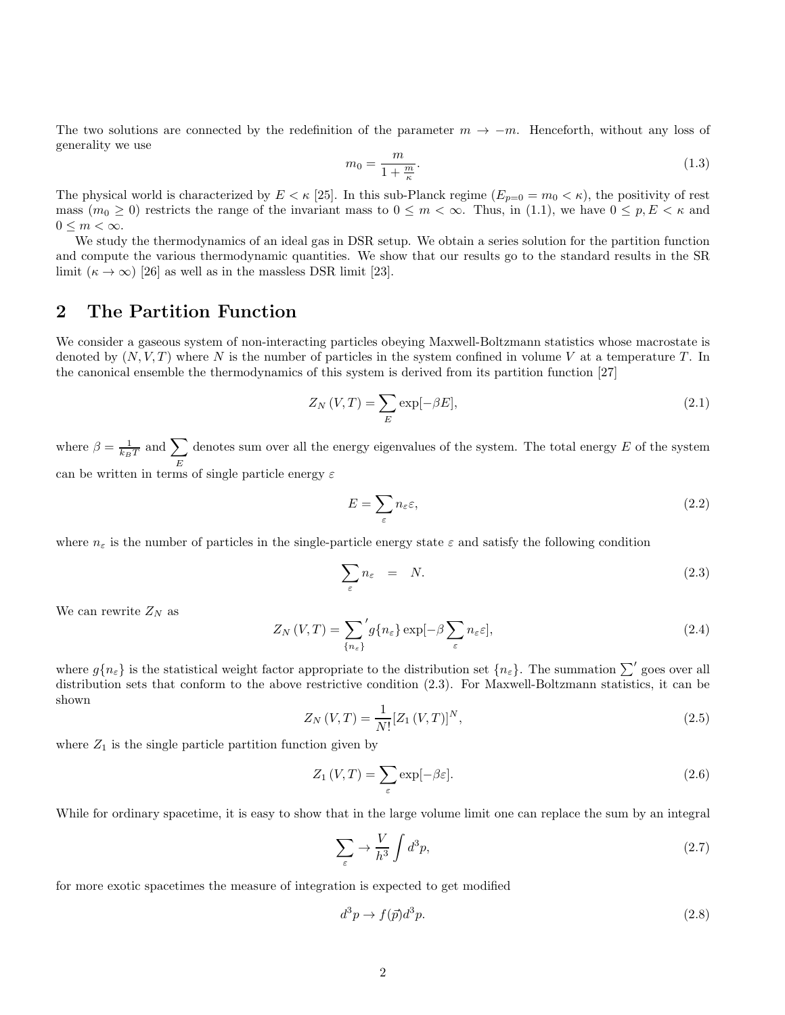The two solutions are connected by the redefinition of the parameter  $m \to -m$ . Henceforth, without any loss of generality we use

$$
m_0 = \frac{m}{1 + \frac{m}{\kappa}}.\tag{1.3}
$$

The physical world is characterized by  $E < \kappa$  [25]. In this sub-Planck regime  $(E_{p=0} = m_0 < \kappa)$ , the positivity of rest mass  $(m_0 \geq 0)$  restricts the range of the invariant mass to  $0 \leq m < \infty$ . Thus, in (1.1), we have  $0 \leq p, E < \kappa$  and  $0 \leq m < \infty$ .

We study the thermodynamics of an ideal gas in DSR setup. We obtain a series solution for the partition function and compute the various thermodynamic quantities. We show that our results go to the standard results in the SR limit  $(\kappa \to \infty)$  [26] as well as in the massless DSR limit [23].

### 2 The Partition Function

We consider a gaseous system of non-interacting particles obeying Maxwell-Boltzmann statistics whose macrostate is denoted by  $(N, V, T)$  where N is the number of particles in the system confined in volume V at a temperature T. In the canonical ensemble the thermodynamics of this system is derived from its partition function [27]

$$
Z_N(V,T) = \sum_E \exp[-\beta E],\tag{2.1}
$$

where  $\beta = \frac{1}{k_B T}$  and  $\sum$ E denotes sum over all the energy eigenvalues of the system. The total energy  $E$  of the system can be written in terms of single particle energy  $\varepsilon$ 

$$
E = \sum_{\varepsilon} n_{\varepsilon} \varepsilon,\tag{2.2}
$$

where  $n_{\varepsilon}$  is the number of particles in the single-particle energy state  $\varepsilon$  and satisfy the following condition

$$
\sum_{\varepsilon} n_{\varepsilon} = N. \tag{2.3}
$$

We can rewrite  $Z_N$  as

$$
Z_N(V,T) = \sum_{\{n_{\varepsilon}\}}' g\{n_{\varepsilon}\} \exp[-\beta \sum_{\varepsilon} n_{\varepsilon} \varepsilon],\tag{2.4}
$$

where  $g\{n_{\varepsilon}\}\)$  is the statistical weight factor appropriate to the distribution set  $\{n_{\varepsilon}\}\)$ . The summation  $\sum'$  goes over all distribution sets that conform to the above restrictive condition (2.3). For Maxwell-Boltzmann statistics, it can be shown

$$
Z_N(V,T) = \frac{1}{N!} [Z_1(V,T)]^N,
$$
\n(2.5)

where  $Z_1$  is the single particle partition function given by

$$
Z_1(V,T) = \sum_{\varepsilon} \exp[-\beta \varepsilon].
$$
\n(2.6)

While for ordinary spacetime, it is easy to show that in the large volume limit one can replace the sum by an integral

$$
\sum_{\varepsilon} \to \frac{V}{h^3} \int d^3p,\tag{2.7}
$$

for more exotic spacetimes the measure of integration is expected to get modified

$$
d^3p \to f(\vec{p})d^3p. \tag{2.8}
$$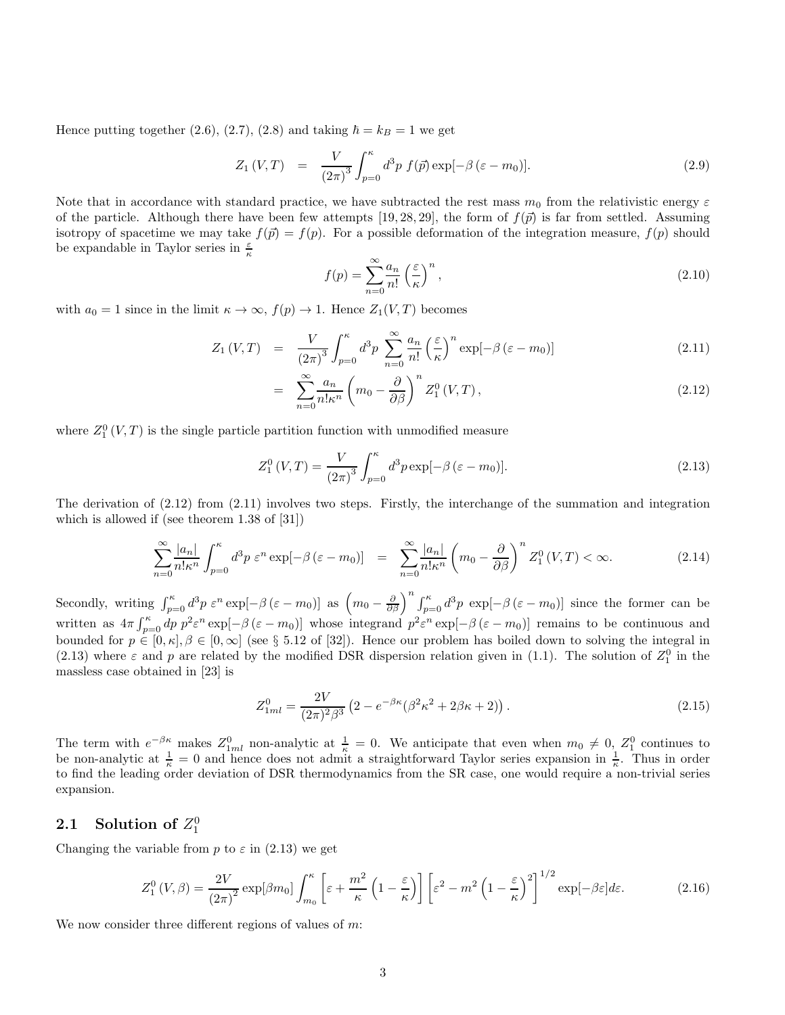Hence putting together (2.6), (2.7), (2.8) and taking  $\hbar = k_B = 1$  we get

$$
Z_1(V,T) = \frac{V}{(2\pi)^3} \int_{p=0}^{\kappa} d^3p f(\vec{p}) \exp[-\beta (\varepsilon - m_0)].
$$
\n(2.9)

Note that in accordance with standard practice, we have subtracted the rest mass  $m_0$  from the relativistic energy  $\varepsilon$ of the particle. Although there have been few attempts [19, 28, 29], the form of  $f(\vec{p})$  is far from settled. Assuming isotropy of spacetime we may take  $f(\vec{p}) = f(p)$ . For a possible deformation of the integration measure,  $f(p)$  should be expandable in Taylor series in  $\frac{\varepsilon}{\kappa}$ 

$$
f(p) = \sum_{n=0}^{\infty} \frac{a_n}{n!} \left(\frac{\varepsilon}{\kappa}\right)^n,\tag{2.10}
$$

with  $a_0 = 1$  since in the limit  $\kappa \to \infty$ ,  $f(p) \to 1$ . Hence  $Z_1(V,T)$  becomes

$$
Z_1(V,T) = \frac{V}{(2\pi)^3} \int_{p=0}^{\kappa} d^3p \sum_{n=0}^{\infty} \frac{a_n}{n!} \left(\frac{\varepsilon}{\kappa}\right)^n \exp[-\beta(\varepsilon - m_0)] \tag{2.11}
$$

$$
= \sum_{n=0}^{\infty} \frac{a_n}{n! \kappa^n} \left( m_0 - \frac{\partial}{\partial \beta} \right)^n Z_1^0(V, T), \qquad (2.12)
$$

where  $Z_1^0(V,T)$  is the single particle partition function with unmodified measure

$$
Z_1^0(V,T) = \frac{V}{(2\pi)^3} \int_{p=0}^{\kappa} d^3 p \exp[-\beta (\varepsilon - m_0)].
$$
\n(2.13)

The derivation of  $(2.12)$  from  $(2.11)$  involves two steps. Firstly, the interchange of the summation and integration which is allowed if (see theorem 1.38 of [31])

$$
\sum_{n=0}^{\infty} \frac{|a_n|}{n!\kappa^n} \int_{p=0}^{\kappa} d^3p \ \varepsilon^n \exp[-\beta(\varepsilon - m_0)] = \sum_{n=0}^{\infty} \frac{|a_n|}{n!\kappa^n} \left(m_0 - \frac{\partial}{\partial \beta}\right)^n Z_1^0(V, T) < \infty. \tag{2.14}
$$

Secondly, writing  $\int_{p=0}^{\kappa} d^3p \epsilon^n \exp[-\beta (\epsilon - m_0)]$  as  $\left(m_0 - \frac{\partial}{\partial \beta}\right)^n \int_{p=0}^{\kappa} d^3p \exp[-\beta (\epsilon - m_0)]$  since the former can be written as  $4\pi \int_{p=0}^{\kappa} dp \ p^2 \varepsilon^n \exp[-\beta (\varepsilon - m_0)]$  whose integrand  $p^2 \varepsilon^n \exp[-\beta (\varepsilon - m_0)]$  remains to be continuous and bounded for  $p \in [0, \kappa], \beta \in [0, \infty]$  (see § 5.12 of [32]). Hence our problem has boiled down to solving the integral in (2.13) where  $\varepsilon$  and  $p$  are related by the modified DSR dispersion relation given in (1.1). The solution of  $Z_1^0$  in the massless case obtained in [23] is

$$
Z_{1ml}^0 = \frac{2V}{(2\pi)^2 \beta^3} \left(2 - e^{-\beta \kappa} (\beta^2 \kappa^2 + 2\beta \kappa + 2)\right). \tag{2.15}
$$

The term with  $e^{-\beta \kappa}$  makes  $Z_{1ml}^0$  non-analytic at  $\frac{1}{\kappa} = 0$ . We anticipate that even when  $m_0 \neq 0$ ,  $Z_1^0$  continues to be non-analytic at  $\frac{1}{\kappa} = 0$  and hence does not admit a straightforward Taylor series expansion in  $\frac{1}{\kappa}$ . Thus in order to find the leading order deviation of DSR thermodynamics from the SR case, one would require a non-trivial series expansion.

# 2.1 Solution of  $Z_1^0$

Changing the variable from p to  $\varepsilon$  in (2.13) we get

$$
Z_1^0(V,\beta) = \frac{2V}{(2\pi)^2} \exp[\beta m_0] \int_{m_0}^{\kappa} \left[ \varepsilon + \frac{m^2}{\kappa} \left( 1 - \frac{\varepsilon}{\kappa} \right) \right] \left[ \varepsilon^2 - m^2 \left( 1 - \frac{\varepsilon}{\kappa} \right)^2 \right]^{1/2} \exp[-\beta \varepsilon] d\varepsilon. \tag{2.16}
$$

We now consider three different regions of values of  $m$ :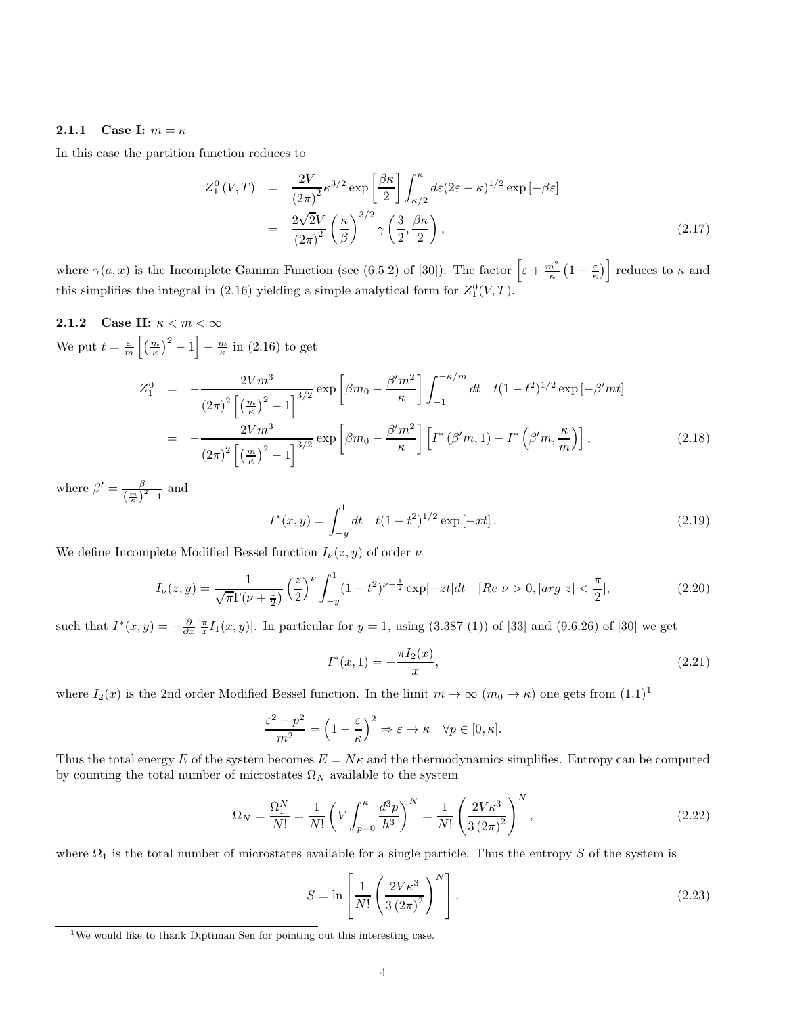#### 2.1.1 Case I:  $m = \kappa$

In this case the partition function reduces to

$$
Z_1^0(V,T) = \frac{2V}{(2\pi)^2} \kappa^{3/2} \exp\left[\frac{\beta\kappa}{2}\right] \int_{\kappa/2}^{\kappa} d\varepsilon (2\varepsilon - \kappa)^{1/2} \exp\left[-\beta\varepsilon\right]
$$
  

$$
= \frac{2\sqrt{2}V}{(2\pi)^2} \left(\frac{\kappa}{\beta}\right)^{3/2} \gamma \left(\frac{3}{2}, \frac{\beta\kappa}{2}\right), \tag{2.17}
$$

where  $\gamma(a,x)$  is the Incomplete Gamma Function (see (6.5.2) of [30]). The factor  $\left[\varepsilon + \frac{m^2}{\kappa}\left(1 - \frac{\varepsilon}{\kappa}\right)\right]$  reduces to  $\kappa$  and this simplifies the integral in (2.16) yielding a simple analytical form for  $Z_1^0(V,T)$ .

2.1.2 Case II:  $\kappa < m < \infty$ We put  $t = \frac{\varepsilon}{m} \left[ \left( \frac{m}{\kappa} \right)^2 - 1 \right] - \frac{m}{\kappa}$  in (2.16) to get

$$
Z_{1}^{0} = -\frac{2Vm^{3}}{(2\pi)^{2}\left[\left(\frac{m}{\kappa}\right)^{2} - 1\right]^{3/2}} \exp\left[\beta m_{0} - \frac{\beta' m^{2}}{\kappa}\right] \int_{-1}^{-\kappa/m} dt \quad t(1 - t^{2})^{1/2} \exp\left[-\beta' mt\right]
$$
  

$$
= -\frac{2Vm^{3}}{(2\pi)^{2}\left[\left(\frac{m}{\kappa}\right)^{2} - 1\right]^{3/2}} \exp\left[\beta m_{0} - \frac{\beta' m^{2}}{\kappa}\right] \left[I^{*}\left(\beta' m, 1\right) - I^{*}\left(\beta' m, \frac{\kappa}{m}\right)\right],
$$
 (2.18)

where  $\beta' = \frac{\beta}{(m)}$  $\frac{\beta}{\left(\frac{m}{\kappa}\right)^2-1}$  and

$$
I^*(x, y) = \int_{-y}^1 dt \quad t(1 - t^2)^{1/2} \exp[-xt]. \tag{2.19}
$$

We define Incomplete Modified Bessel function  $I_{\nu}(z, y)$  of order  $\nu$ 

$$
I_{\nu}(z,y) = \frac{1}{\sqrt{\pi}\Gamma(\nu + \frac{1}{2})} \left(\frac{z}{2}\right)^{\nu} \int_{-y}^{1} (1 - t^2)^{\nu - \frac{1}{2}} \exp[-zt] dt \quad [\text{Re } \nu > 0, |\text{arg } z| < \frac{\pi}{2}], \tag{2.20}
$$

such that  $I^*(x,y) = -\frac{\partial}{\partial x} [\frac{\pi}{x} I_1(x,y)]$ . In particular for  $y = 1$ , using (3.387 (1)) of [33] and (9.6.26) of [30] we get

$$
I^*(x,1) = -\frac{\pi I_2(x)}{x},\tag{2.21}
$$

where  $I_2(x)$  is the 2nd order Modified Bessel function. In the limit  $m \to \infty$   $(m_0 \to \kappa)$  one gets from  $(1.1)^1$ 

$$
\frac{\varepsilon^2 - p^2}{m^2} = \left(1 - \frac{\varepsilon}{\kappa}\right)^2 \Rightarrow \varepsilon \to \kappa \quad \forall p \in [0, \kappa].
$$

Thus the total energy E of the system becomes  $E = N\kappa$  and the thermodynamics simplifies. Entropy can be computed by counting the total number of microstates  $\Omega_N$  available to the system

$$
\Omega_N = \frac{\Omega_1^N}{N!} = \frac{1}{N!} \left( V \int_{p=0}^{\kappa} \frac{d^3 p}{h^3} \right)^N = \frac{1}{N!} \left( \frac{2V\kappa^3}{3(2\pi)^2} \right)^N,
$$
\n(2.22)

where  $\Omega_1$  is the total number of microstates available for a single particle. Thus the entropy S of the system is

$$
S = \ln\left[\frac{1}{N!}\left(\frac{2V\kappa^3}{3\left(2\pi\right)^2}\right)^N\right].\tag{2.23}
$$

 $1$ We would like to thank Diptiman Sen for pointing out this interesting case.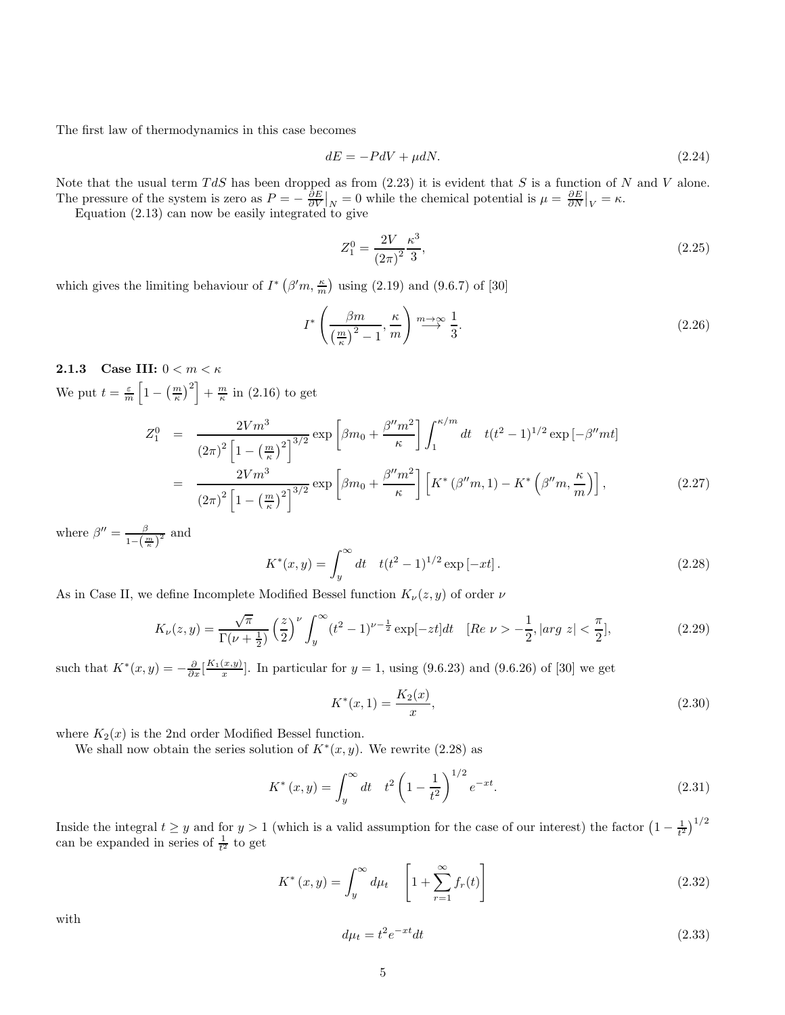The first law of thermodynamics in this case becomes

$$
dE = -PdV + \mu dN. \tag{2.24}
$$

Note that the usual term  $TdS$  has been dropped as from  $(2.23)$  it is evident that S is a function of N and V alone. The pressure of the system is zero as  $P = -\frac{\partial E}{\partial V}\big|_N = 0$  while the chemical potential is  $\mu = \frac{\partial E}{\partial N}\big|_V = \kappa$ .

Equation (2.13) can now be easily integrated to give

$$
Z_1^0 = \frac{2V}{(2\pi)^2} \frac{\kappa^3}{3},\tag{2.25}
$$

which gives the limiting behaviour of  $I^*$  ( $\beta'm, \frac{\kappa}{m}$ ) using (2.19) and (9.6.7) of [30]

$$
I^* \left( \frac{\beta m}{\left(\frac{m}{\kappa}\right)^2 - 1}, \frac{\kappa}{m} \right) \stackrel{m \to \infty}{\longrightarrow} \frac{1}{3}.
$$
 (2.26)

2.1.3 Case III:  $0 < m < \kappa$ We put  $t = \frac{\varepsilon}{m} \left[ 1 - \left( \frac{m}{\kappa} \right)^2 \right] + \frac{m}{\kappa}$  in (2.16) to get

$$
Z_1^0 = \frac{2Vm^3}{(2\pi)^2 \left[1 - \left(\frac{m}{\kappa}\right)^2\right]^{3/2}} \exp\left[\beta m_0 + \frac{\beta''m^2}{\kappa}\right] \int_1^{\kappa/m} dt \quad t(t^2 - 1)^{1/2} \exp\left[-\beta''mt\right]
$$
  
= 
$$
\frac{2Vm^3}{(2\pi)^2 \left[1 - \left(\frac{m}{\kappa}\right)^2\right]^{3/2}} \exp\left[\beta m_0 + \frac{\beta''m^2}{\kappa}\right] \left[K^*(\beta''m, 1) - K^*\left(\beta''m, \frac{\kappa}{m}\right)\right],
$$
 (2.27)

where  $\beta'' = \frac{\beta}{\beta}$  $\frac{\beta}{1-\left(\frac{m}{\kappa}\right)^2}$  and

$$
K^*(x, y) = \int_y^\infty dt \quad t(t^2 - 1)^{1/2} \exp[-xt].
$$
\n(2.28)

As in Case II, we define Incomplete Modified Bessel function  $K_{\nu}(z, y)$  of order  $\nu$ 

$$
K_{\nu}(z,y) = \frac{\sqrt{\pi}}{\Gamma(\nu + \frac{1}{2})} \left(\frac{z}{2}\right)^{\nu} \int_{y}^{\infty} (t^2 - 1)^{\nu - \frac{1}{2}} \exp[-zt] dt \quad [\text{Re } \nu > -\frac{1}{2}, |\text{arg } z| < \frac{\pi}{2}], \tag{2.29}
$$

such that  $K^*(x, y) = -\frac{\partial}{\partial x} \left[\frac{K_1(x, y)}{x}\right]$  $\frac{x, y}{x}$ . In particular for  $y = 1$ , using (9.6.23) and (9.6.26) of [30] we get

$$
K^*(x,1) = \frac{K_2(x)}{x},\tag{2.30}
$$

where  $K_2(x)$  is the 2nd order Modified Bessel function.

We shall now obtain the series solution of  $K^*(x, y)$ . We rewrite (2.28) as

$$
K^*(x,y) = \int_y^\infty dt \quad t^2 \left(1 - \frac{1}{t^2}\right)^{1/2} e^{-xt}.\tag{2.31}
$$

Inside the integral  $t \geq y$  and for  $y > 1$  (which is a valid assumption for the case of our interest) the factor  $\left(1 - \frac{1}{t^2}\right)^{1/2}$ can be expanded in series of  $\frac{1}{t^2}$  to get

$$
K^*(x,y) = \int_y^\infty d\mu_t \quad \left[1 + \sum_{r=1}^\infty f_r(t)\right]
$$
\n(2.32)

with

$$
d\mu_t = t^2 e^{-xt} dt \tag{2.33}
$$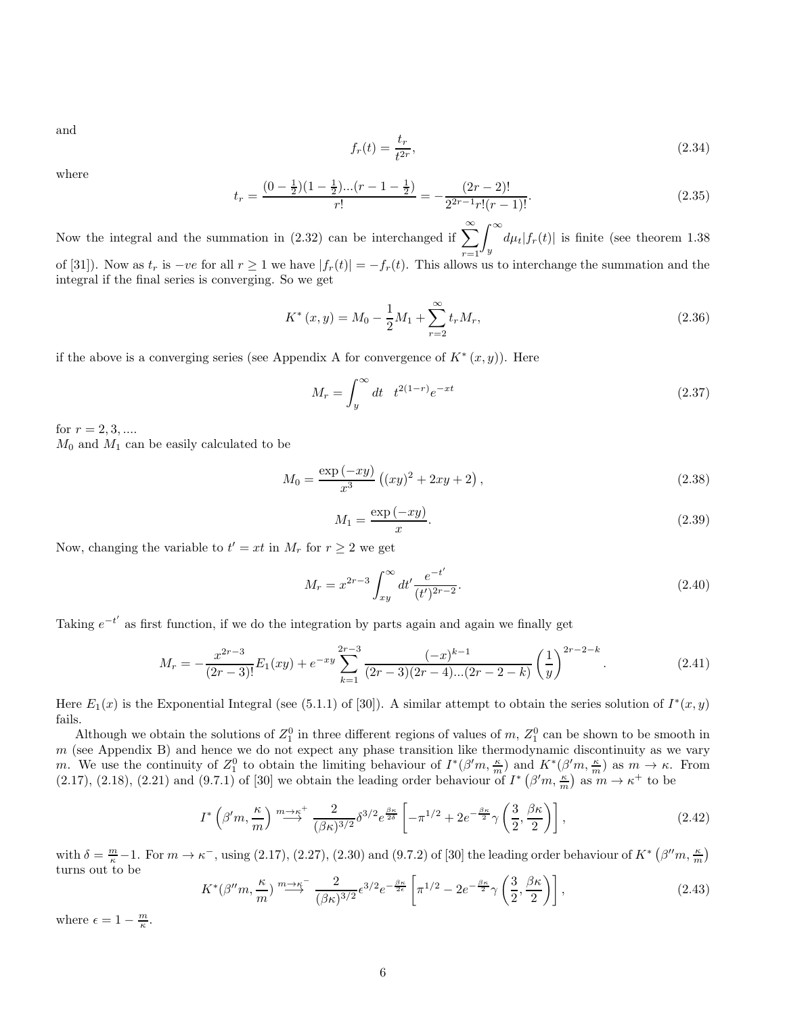and

$$
f_r(t) = \frac{t_r}{t^{2r}},\tag{2.34}
$$

where

$$
t_r = \frac{(0 - \frac{1}{2})(1 - \frac{1}{2})...(r - 1 - \frac{1}{2})}{r!} = -\frac{(2r - 2)!}{2^{2r - 1}r!(r - 1)!}.
$$
\n(2.35)

Now the integral and the summation in (2.32) can be interchanged if  $\sum_{n=1}^{\infty}$  $r=1$  $\int^{\infty}$  $\frac{d\mu_t|f_r(t)|}{dt}$  is finite (see theorem 1.38) of [31]). Now as  $t_r$  is  $-ve$  for all  $r \ge 1$  we have  $|f_r(t)| = -f_r(t)$ . This allows us to interchange the summation and the integral if the final series is converging. So we get

$$
K^*(x, y) = M_0 - \frac{1}{2}M_1 + \sum_{r=2}^{\infty} t_r M_r,
$$
\n(2.36)

if the above is a converging series (see Appendix A for convergence of  $K^*(x, y)$ ). Here

$$
M_r = \int_y^{\infty} dt \quad t^{2(1-r)} e^{-xt} \tag{2.37}
$$

for  $r = 2, 3, ...$ 

 $M_0$  and  $M_1$  can be easily calculated to be

$$
M_0 = \frac{\exp(-xy)}{x^3} ((xy)^2 + 2xy + 2), \qquad (2.38)
$$

$$
M_1 = \frac{\exp\left(-xy\right)}{x}.\tag{2.39}
$$

Now, changing the variable to  $t' = xt$  in  $M_r$  for  $r \geq 2$  we get

$$
M_r = x^{2r-3} \int_{xy}^{\infty} dt' \frac{e^{-t'}}{(t')^{2r-2}}.
$$
\n(2.40)

Taking  $e^{-t'}$  as first function, if we do the integration by parts again and again we finally get

$$
M_r = -\frac{x^{2r-3}}{(2r-3)!}E_1(xy) + e^{-xy} \sum_{k=1}^{2r-3} \frac{(-x)^{k-1}}{(2r-3)(2r-4)...(2r-2-k)} \left(\frac{1}{y}\right)^{2r-2-k}.
$$
 (2.41)

Here  $E_1(x)$  is the Exponential Integral (see (5.1.1) of [30]). A similar attempt to obtain the series solution of  $I^*(x, y)$ fails.

Although we obtain the solutions of  $Z_1^0$  in three different regions of values of m,  $Z_1^0$  can be shown to be smooth in  $m$  (see Appendix B) and hence we do not expect any phase transition like thermodynamic discontinuity as we vary m. We use the continuity of  $Z_1^0$  to obtain the limiting behaviour of  $I^*(\beta'm,\frac{\kappa}{m})$  and  $K^*(\beta'm,\frac{\kappa}{m})$  as  $m \to \kappa$ . From (2.17), (2.18), (2.21) and (9.7.1) of [30] we obtain the leading order behaviour of  $I^*$  ( $\beta'm, \frac{\kappa}{m}$ ) as  $m \to \kappa^+$  to be

$$
I^*\left(\beta'm,\frac{\kappa}{m}\right) \stackrel{m\to\kappa^+}{\longrightarrow} \frac{2}{(\beta\kappa)^{3/2}} \delta^{3/2} e^{\frac{\beta\kappa}{2\delta}} \left[ -\pi^{1/2} + 2e^{-\frac{\beta\kappa}{2}} \gamma\left(\frac{3}{2},\frac{\beta\kappa}{2}\right) \right],\tag{2.42}
$$

with  $\delta = \frac{m}{\kappa} - 1$ . For  $m \to \kappa^-$ , using (2.17), (2.27), (2.30) and (9.7.2) of [30] the leading order behaviour of  $K^*$  ( $\beta''m, \frac{\kappa}{m}$ ) turns out to be

$$
K^*(\beta''m, \frac{\kappa}{m}) \stackrel{m \to \kappa}{\longrightarrow} \frac{2}{(\beta\kappa)^{3/2}} \epsilon^{3/2} e^{-\frac{\beta\kappa}{2\epsilon}} \left[ \pi^{1/2} - 2e^{-\frac{\beta\kappa}{2}} \gamma \left( \frac{3}{2}, \frac{\beta\kappa}{2} \right) \right],
$$
 (2.43)

where  $\epsilon = 1 - \frac{m}{\kappa}$ .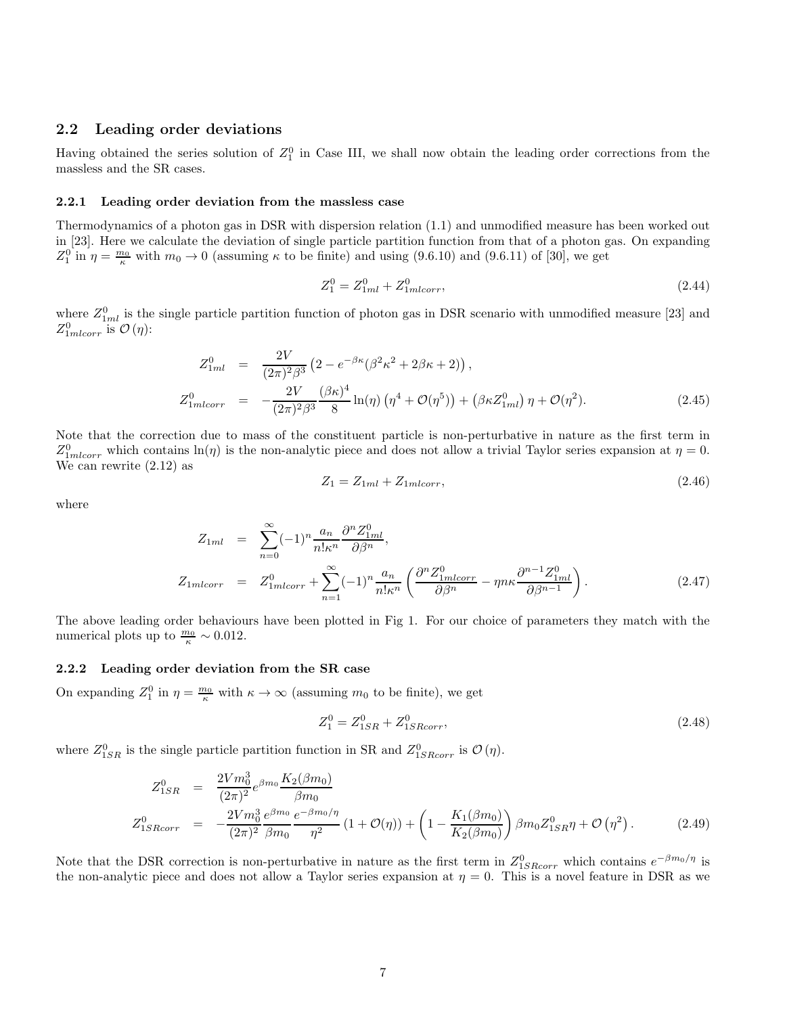#### 2.2 Leading order deviations

Having obtained the series solution of  $Z_1^0$  in Case III, we shall now obtain the leading order corrections from the massless and the SR cases.

#### 2.2.1 Leading order deviation from the massless case

Thermodynamics of a photon gas in DSR with dispersion relation (1.1) and unmodified measure has been worked out in [23]. Here we calculate the deviation of single particle partition function from that of a photon gas. On expanding  $Z_1^0$  in  $\eta = \frac{m_0}{\kappa}$  with  $m_0 \to 0$  (assuming  $\kappa$  to be finite) and using (9.6.10) and (9.6.11) of [30], we get

$$
Z_1^0 = Z_{1ml}^0 + Z_{1mlcorr}^0,\tag{2.44}
$$

where  $Z_{1ml}^0$  is the single particle partition function of photon gas in DSR scenario with unmodified measure [23] and  $Z_{1mlcorr}^0$  is  $\mathcal{O}(\eta)$ :

$$
Z_{1ml}^0 = \frac{2V}{(2\pi)^2 \beta^3} \left(2 - e^{-\beta \kappa} (\beta^2 \kappa^2 + 2\beta \kappa + 2) \right),
$$
  
\n
$$
Z_{1mlcorr}^0 = -\frac{2V}{(2\pi)^2 \beta^3} \frac{(\beta \kappa)^4}{8} \ln(\eta) \left( \eta^4 + \mathcal{O}(\eta^5) \right) + \left( \beta \kappa Z_{1ml}^0 \right) \eta + \mathcal{O}(\eta^2).
$$
\n(2.45)

Note that the correction due to mass of the constituent particle is non-perturbative in nature as the first term in  $Z_{1mlcorr}^0$  which contains  $\ln(\eta)$  is the non-analytic piece and does not allow a trivial Taylor series expansion at  $\eta = 0$ . We can rewrite (2.12) as

$$
Z_1 = Z_{1ml} + Z_{1mlcorr},\tag{2.46}
$$

where

$$
Z_{1ml} = \sum_{n=0}^{\infty} (-1)^n \frac{a_n}{n! \kappa^n} \frac{\partial^n Z_{1ml}^0}{\partial \beta^n},
$$
  
\n
$$
Z_{1mlcorr} = Z_{1mlcorr}^0 + \sum_{n=1}^{\infty} (-1)^n \frac{a_n}{n! \kappa^n} \left( \frac{\partial^n Z_{1mlcorr}^0}{\partial \beta^n} - \eta n \kappa \frac{\partial^{n-1} Z_{1ml}^0}{\partial \beta^{n-1}} \right).
$$
\n(2.47)

The above leading order behaviours have been plotted in Fig 1. For our choice of parameters they match with the numerical plots up to  $\frac{m_0}{\kappa} \sim 0.012$ .

#### 2.2.2 Leading order deviation from the SR case

On expanding  $Z_1^0$  in  $\eta = \frac{m_0}{\kappa}$  with  $\kappa \to \infty$  (assuming  $m_0$  to be finite), we get

$$
Z_1^0 = Z_{1SR}^0 + Z_{1SRcorr}^0,\tag{2.48}
$$

where  $Z_{1SR}^0$  is the single particle partition function in SR and  $Z_{1SRcorr}^0$  is  $\mathcal{O}(\eta)$ .

$$
Z_{1SR}^{0} = \frac{2Vm_0^3}{(2\pi)^2} e^{\beta m_0} \frac{K_2(\beta m_0)}{\beta m_0}
$$
  
\n
$$
Z_{1SRcorr}^{0} = -\frac{2Vm_0^3}{(2\pi)^2} \frac{e^{\beta m_0} e^{-\beta m_0/\eta}}{\beta m_0} \left(1 + \mathcal{O}(\eta)\right) + \left(1 - \frac{K_1(\beta m_0)}{K_2(\beta m_0)}\right) \beta m_0 Z_{1SR}^0 \eta + \mathcal{O}(\eta^2).
$$
\n(2.49)

Note that the DSR correction is non-perturbative in nature as the first term in  $Z_{1SRCorr}^0$  which contains  $e^{-\beta m_0/\eta}$  is the non-analytic piece and does not allow a Taylor series expansion at  $\eta = 0$ . This is a novel feature in DSR as we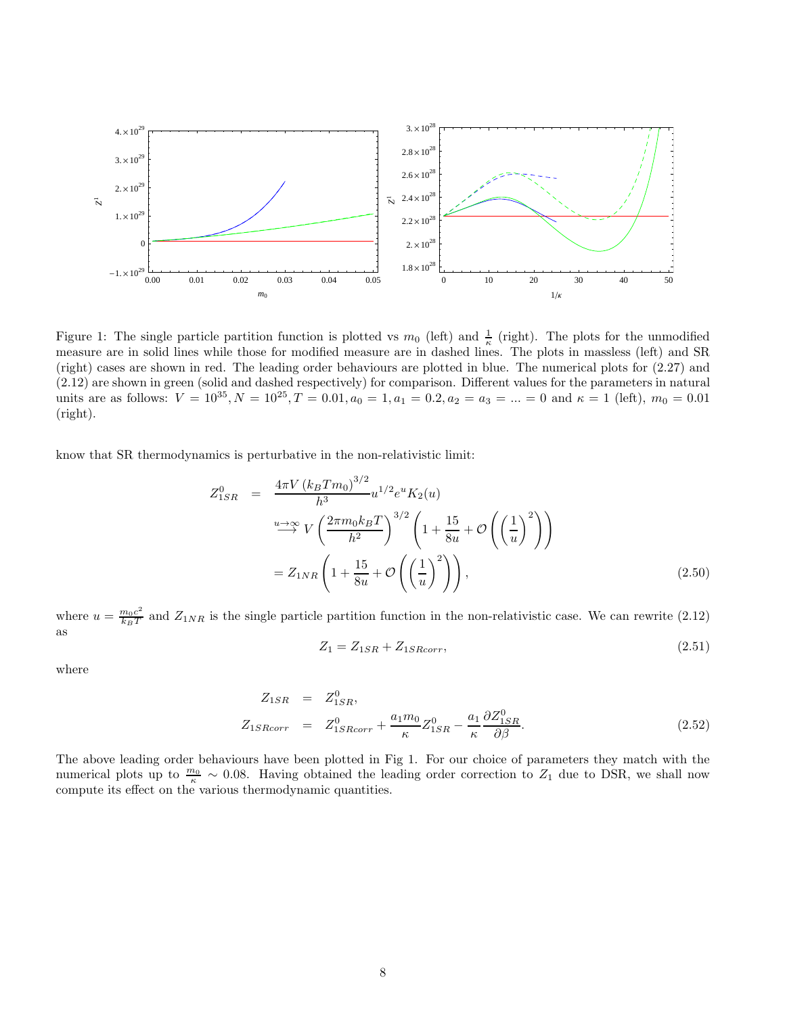

Figure 1: The single particle partition function is plotted vs  $m_0$  (left) and  $\frac{1}{\kappa}$  (right). The plots for the unmodified measure are in solid lines while those for modified measure are in dashed lines. The plots in massless (left) and SR (right) cases are shown in red. The leading order behaviours are plotted in blue. The numerical plots for (2.27) and (2.12) are shown in green (solid and dashed respectively) for comparison. Different values for the parameters in natural units are as follows:  $V = 10^{35}$ ,  $N = 10^{25}$ ,  $T = 0.01$ ,  $a_0 = 1$ ,  $a_1 = 0.2$ ,  $a_2 = a_3 = ... = 0$  and  $\kappa = 1$  (left),  $m_0 = 0.01$ (right).

know that SR thermodynamics is perturbative in the non-relativistic limit:

$$
Z_{1SR}^{0} = \frac{4\pi V (k_B T m_0)^{3/2}}{h^3} u^{1/2} e^{u} K_2(u)
$$
  

$$
\xrightarrow{u \to \infty} V \left(\frac{2\pi m_0 k_B T}{h^2}\right)^{3/2} \left(1 + \frac{15}{8u} + \mathcal{O}\left(\left(\frac{1}{u}\right)^2\right)\right)
$$
  

$$
= Z_{1NR} \left(1 + \frac{15}{8u} + \mathcal{O}\left(\left(\frac{1}{u}\right)^2\right)\right), \tag{2.50}
$$

where  $u = \frac{m_0 c^2}{k_B T}$  $\frac{m_0 c^2}{k_B T}$  and  $Z_{1NR}$  is the single particle partition function in the non-relativistic case. We can rewrite (2.12) as

$$
Z_1 = Z_{1SR} + Z_{1SRcorr},\tag{2.51}
$$

where

$$
Z_{1SR} = Z_{1SR}^0,
$$
  
\n
$$
Z_{1SRcorr} = Z_{1SRcorr}^0 + \frac{a_1 m_0}{\kappa} Z_{1SR}^0 - \frac{a_1}{\kappa} \frac{\partial Z_{1SR}^0}{\partial \beta}.
$$
\n(2.52)

The above leading order behaviours have been plotted in Fig 1. For our choice of parameters they match with the numerical plots up to  $\frac{m_0}{\kappa} \sim 0.08$ . Having obtained the leading order correction to  $Z_1$  due to DSR, we shall now compute its effect on the various thermodynamic quantities.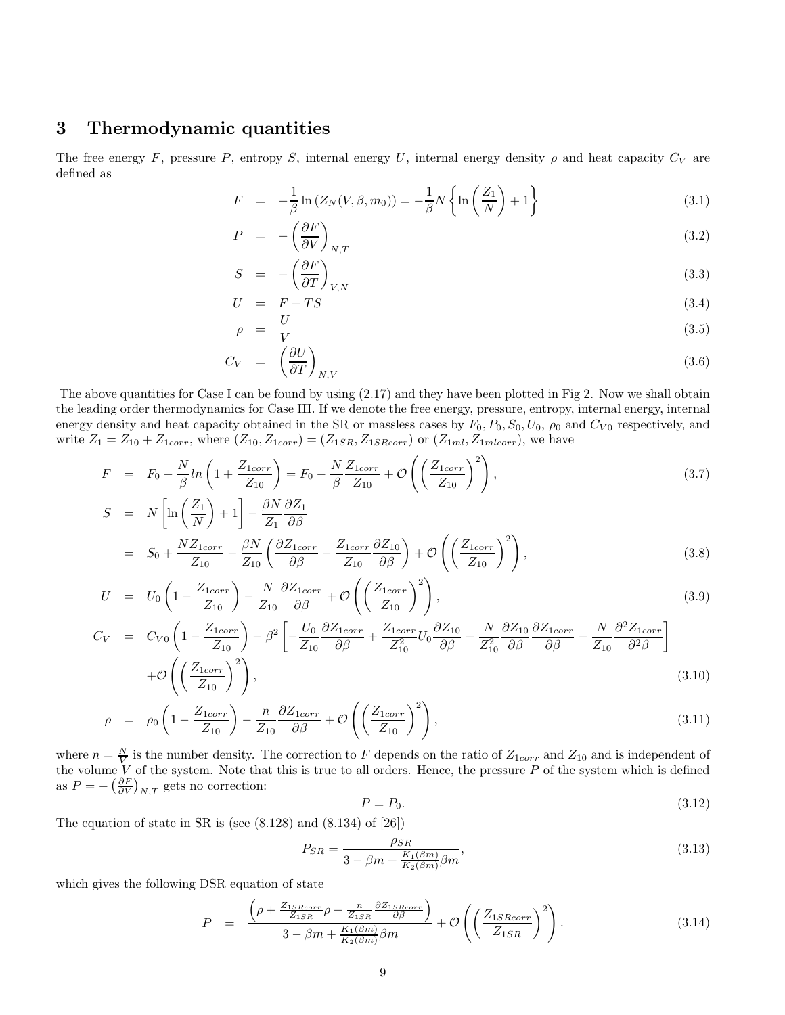## 3 Thermodynamic quantities

The free energy F, pressure P, entropy S, internal energy U, internal energy density  $\rho$  and heat capacity  $C_V$  are defined as

$$
F = -\frac{1}{\beta} \ln \left( Z_N(V, \beta, m_0) \right) = -\frac{1}{\beta} N \left\{ \ln \left( \frac{Z_1}{N} \right) + 1 \right\} \tag{3.1}
$$

$$
P = -\left(\frac{\partial F}{\partial V}\right)_{N,T} \tag{3.2}
$$

$$
S = -\left(\frac{\partial F}{\partial T}\right)_{V,N} \tag{3.3}
$$

$$
U = F + TS \tag{3.4}
$$

$$
\rho = \frac{U}{V} \tag{3.5}
$$

$$
C_V = \left(\frac{\partial U}{\partial T}\right)_{N,V} \tag{3.6}
$$

The above quantities for Case I can be found by using (2.17) and they have been plotted in Fig 2. Now we shall obtain the leading order thermodynamics for Case III. If we denote the free energy, pressure, entropy, internal energy, internal energy density and heat capacity obtained in the SR or massless cases by  $F_0$ ,  $P_0$ ,  $S_0$ ,  $U_0$ ,  $\rho_0$  and  $C_{V0}$  respectively, and write  $Z_1 = Z_{10} + Z_{1corr}$ , where  $(Z_{10}, Z_{1corr}) = (Z_{1SR}, Z_{1SRcorr})$  or  $(Z_{1ml}, Z_{1mlcorr})$ , we have

$$
F = F_0 - \frac{N}{\beta} ln\left(1 + \frac{Z_{1corr}}{Z_{10}}\right) = F_0 - \frac{N}{\beta} \frac{Z_{1corr}}{Z_{10}} + \mathcal{O}\left(\left(\frac{Z_{1corr}}{Z_{10}}\right)^2\right),\tag{3.7}
$$
\n
$$
S = N \left[ln\left(Z_1\right) + 1\right] - \beta N \partial Z_1
$$

$$
S = N \left[ \ln \left( \frac{Z_1}{N} \right) + 1 \right] - \frac{\beta N}{Z_1} \frac{\partial Z_1}{\partial \beta}
$$
  
= 
$$
S_0 + \frac{NZ_{1corr}}{Z_{10}} - \frac{\beta N}{Z_{10}} \left( \frac{\partial Z_{1corr}}{\partial \beta} - \frac{Z_{1corr}}{Z_{10}} \frac{\partial Z_{10}}{\partial \beta} \right) + \mathcal{O} \left( \left( \frac{Z_{1corr}}{Z_{10}} \right)^2 \right),
$$
 (3.8)

$$
U = U_0 \left( 1 - \frac{Z_{1corr}}{Z_{10}} \right) - \frac{N}{Z_{10}} \frac{\partial Z_{1corr}}{\partial \beta} + \mathcal{O} \left( \left( \frac{Z_{1corr}}{Z_{10}} \right)^2 \right), \tag{3.9}
$$

$$
C_V = C_{V0} \left( 1 - \frac{Z_{1corr}}{Z_{10}} \right) - \beta^2 \left[ -\frac{U_0}{Z_{10}} \frac{\partial Z_{1corr}}{\partial \beta} + \frac{Z_{1corr}}{Z_{10}^2} U_0 \frac{\partial Z_{10}}{\partial \beta} + \frac{N}{Z_{10}^2} \frac{\partial Z_{10}}{\partial \beta} \frac{\partial Z_{1corr}}{\partial \beta} - \frac{N}{Z_{10}} \frac{\partial^2 Z_{1corr}}{\partial^2 \beta} \right]
$$
  
+  $\mathcal{O}\left( \left( \frac{Z_{1corr}}{Z_{10}} \right)^2 \right),$  (3.10)

$$
\rho = \rho_0 \left( 1 - \frac{Z_{1corr}}{Z_{10}} \right) - \frac{n}{Z_{10}} \frac{\partial Z_{1corr}}{\partial \beta} + \mathcal{O} \left( \left( \frac{Z_{1corr}}{Z_{10}} \right)^2 \right), \tag{3.11}
$$

where  $n = \frac{N}{V}$  is the number density. The correction to F depends on the ratio of  $Z_{1corr}$  and  $Z_{10}$  and is independent of the volume V of the system. Note that this is true to all orders. Hence, the pressure  $P$  of the system which is defined as  $P = -\left(\frac{\partial F}{\partial V}\right)_{N,T}$  gets no correction:

$$
P = P_0. \tag{3.12}
$$

The equation of state in SR is (see  $(8.128)$  and  $(8.134)$  of  $[26]$ )

$$
P_{SR} = \frac{\rho_{SR}}{3 - \beta m + \frac{K_1(\beta m)}{K_2(\beta m)}\beta m},
$$
\n(3.13)

which gives the following DSR equation of state

$$
P = \frac{\left(\rho + \frac{Z_{1SRcorr}}{Z_{1SR}}\rho + \frac{n}{Z_{1SR}}\frac{\partial Z_{1SRcorr}}{\partial \beta}\right)}{3 - \beta m + \frac{K_1(\beta m)}{K_2(\beta m)}\beta m} + \mathcal{O}\left(\left(\frac{Z_{1SRcorr}}{Z_{1SR}}\right)^2\right). \tag{3.14}
$$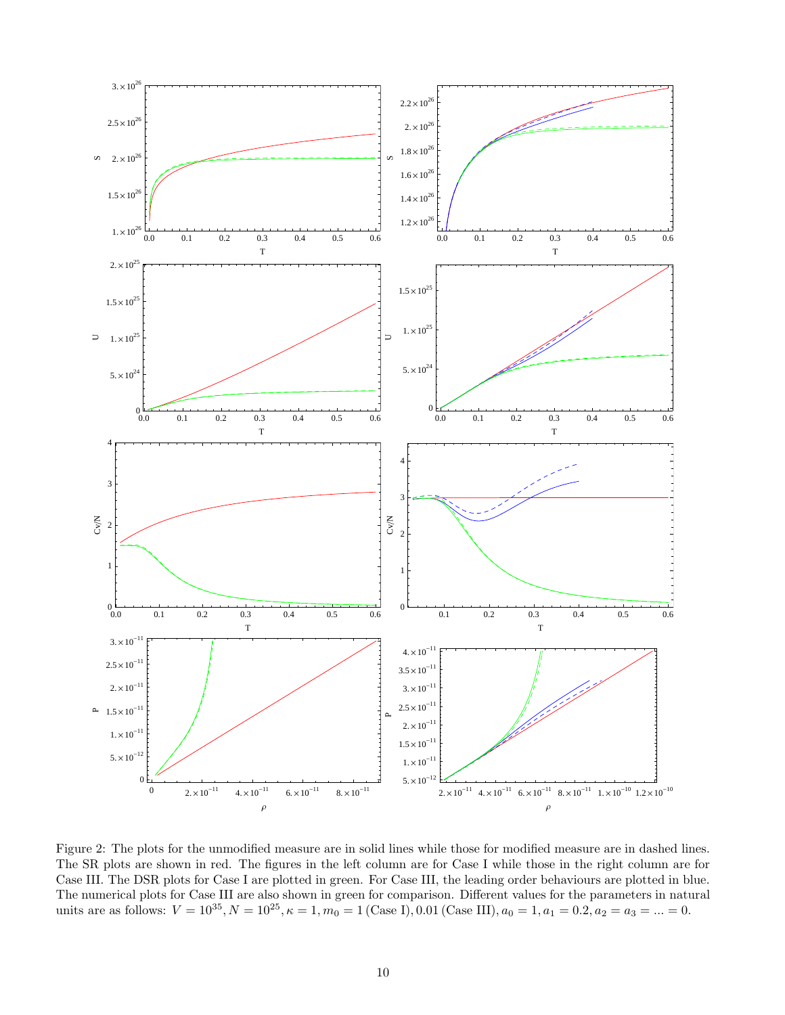

Figure 2: The plots for the unmodified measure are in solid lines while those for modified measure are in dashed lines. The SR plots are shown in red. The figures in the left column are for Case I while those in the right column are for Case III. The DSR plots for Case I are plotted in green. For Case III, the leading order behaviours are plotted in blue. The numerical plots for Case III are also shown in green for comparison. Different values for the parameters in natural units are as follows:  $V = 10^{35}$ ,  $N = 10^{25}$ ,  $\kappa = 1$ ,  $m_0 = 1$  (Case I), 0.01 (Case III),  $a_0 = 1$ ,  $a_1 = 0.2$ ,  $a_2 = a_3 = ... = 0$ .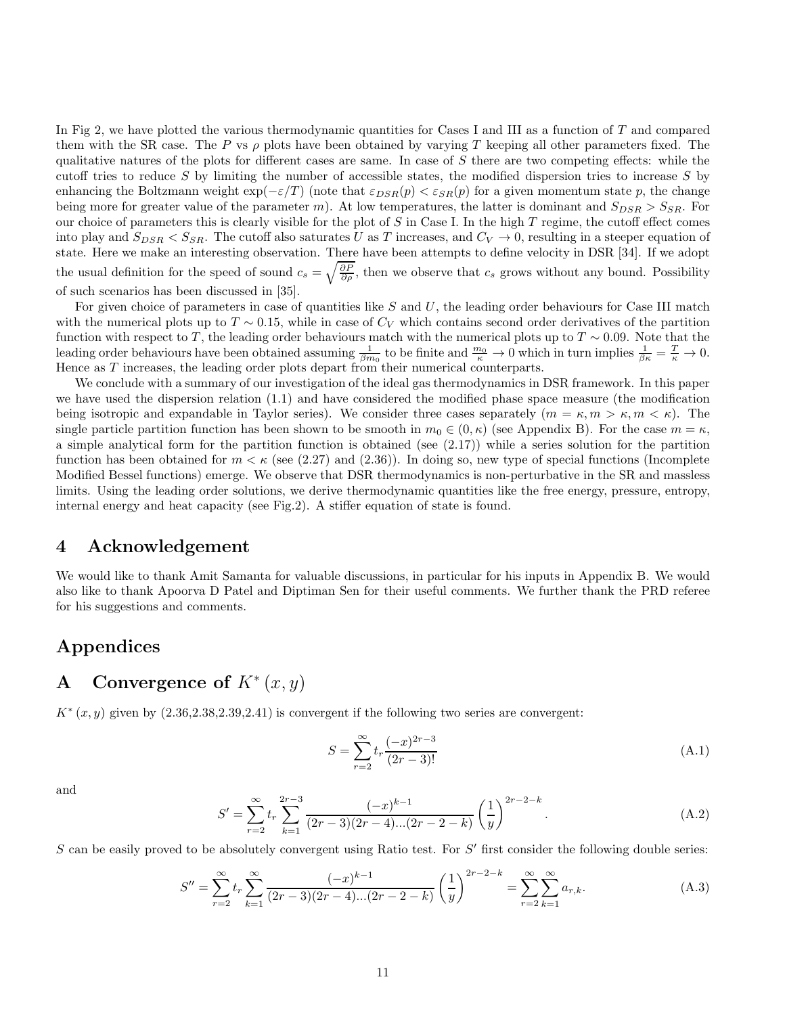In Fig 2, we have plotted the various thermodynamic quantities for Cases I and III as a function of  $T$  and compared them with the SR case. The P vs  $\rho$  plots have been obtained by varying T keeping all other parameters fixed. The qualitative natures of the plots for different cases are same. In case of  $S$  there are two competing effects: while the cutoff tries to reduce  $S$  by limiting the number of accessible states, the modified dispersion tries to increase  $S$  by enhancing the Boltzmann weight  $\exp(-\varepsilon/T)$  (note that  $\varepsilon_{DSR}(p) < \varepsilon_{SR}(p)$ ) for a given momentum state p, the change being more for greater value of the parameter m). At low temperatures, the latter is dominant and  $S_{DSR} > S_{SR}$ . For our choice of parameters this is clearly visible for the plot of  $S$  in Case I. In the high  $T$  regime, the cutoff effect comes into play and  $S_{DSR} < S_{SR}$ . The cutoff also saturates U as T increases, and  $C_V \rightarrow 0$ , resulting in a steeper equation of state. Here we make an interesting observation. There have been attempts to define velocity in DSR [34]. If we adopt the usual definition for the speed of sound  $c_s = \sqrt{\frac{\partial P}{\partial \rho}}$ , then we observe that  $c_s$  grows without any bound. Possibility of such scenarios has been discussed in [35].

For given choice of parameters in case of quantities like  $S$  and  $U$ , the leading order behaviours for Case III match with the numerical plots up to  $T \sim 0.15$ , while in case of  $C_V$  which contains second order derivatives of the partition function with respect to T, the leading order behaviours match with the numerical plots up to  $T \sim 0.09$ . Note that the leading order behaviours have been obtained assuming  $\frac{1}{\beta m_0}$  to be finite and  $\frac{m_0}{\kappa} \to 0$  which in turn implies  $\frac{1}{\beta \kappa} = \frac{T}{\kappa} \to 0$ . Hence as  $T$  increases, the leading order plots depart from their numerical counterparts.

We conclude with a summary of our investigation of the ideal gas thermodynamics in DSR framework. In this paper we have used the dispersion relation (1.1) and have considered the modified phase space measure (the modification being isotropic and expandable in Taylor series). We consider three cases separately  $(m = \kappa, m > \kappa, m < \kappa)$ . The single particle partition function has been shown to be smooth in  $m_0 \in (0, \kappa)$  (see Appendix B). For the case  $m = \kappa$ , a simple analytical form for the partition function is obtained (see (2.17)) while a series solution for the partition function has been obtained for  $m < \kappa$  (see (2.27) and (2.36)). In doing so, new type of special functions (Incomplete Modified Bessel functions) emerge. We observe that DSR thermodynamics is non-perturbative in the SR and massless limits. Using the leading order solutions, we derive thermodynamic quantities like the free energy, pressure, entropy, internal energy and heat capacity (see Fig.2). A stiffer equation of state is found.

### 4 Acknowledgement

We would like to thank Amit Samanta for valuable discussions, in particular for his inputs in Appendix B. We would also like to thank Apoorva D Patel and Diptiman Sen for their useful comments. We further thank the PRD referee for his suggestions and comments.

### Appendices

# A Convergence of  $K^*(x, y)$

 $K^*(x, y)$  given by  $(2.36, 2.38, 2.39, 2.41)$  is convergent if the following two series are convergent:

$$
S = \sum_{r=2}^{\infty} t_r \frac{(-x)^{2r-3}}{(2r-3)!}
$$
 (A.1)

and

$$
S' = \sum_{r=2}^{\infty} t_r \sum_{k=1}^{2r-3} \frac{(-x)^{k-1}}{(2r-3)(2r-4)...(2r-2-k)} \left(\frac{1}{y}\right)^{2r-2-k}.
$$
 (A.2)

 $S$  can be easily proved to be absolutely convergent using Ratio test. For  $S'$  first consider the following double series:

$$
S'' = \sum_{r=2}^{\infty} t_r \sum_{k=1}^{\infty} \frac{(-x)^{k-1}}{(2r-3)(2r-4)...(2r-2-k)} \left(\frac{1}{y}\right)^{2r-2-k} = \sum_{r=2}^{\infty} \sum_{k=1}^{\infty} a_{r,k}.
$$
 (A.3)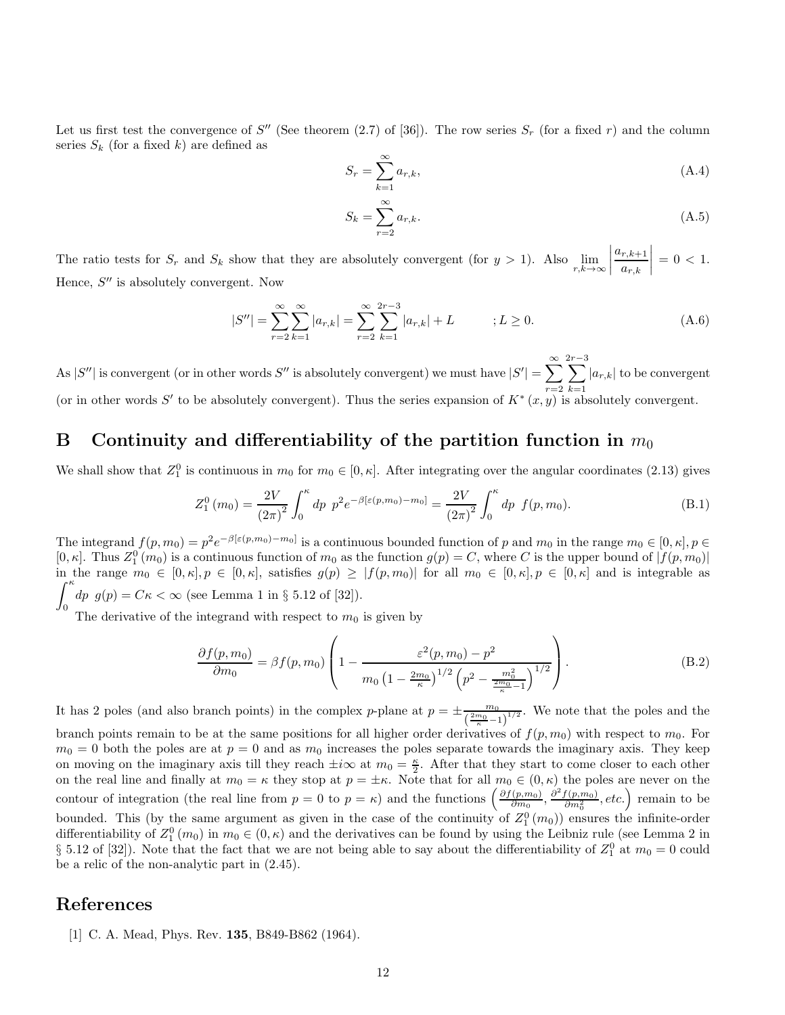Let us first test the convergence of  $S''$  (See theorem (2.7) of [36]). The row series  $S_r$  (for a fixed r) and the column series  $S_k$  (for a fixed k) are defined as

$$
S_r = \sum_{k=1}^{\infty} a_{r,k},\tag{A.4}
$$

$$
S_k = \sum_{r=2}^{\infty} a_{r,k}.\tag{A.5}
$$

The ratio tests for  $S_r$  and  $S_k$  show that they are absolutely convergent (for  $y > 1$ ). Also  $\lim_{r,k \to \infty}$  $\begin{array}{c} \begin{array}{c} \begin{array}{c} \begin{array}{c} \end{array}\\ \begin{array}{c} \end{array} \end{array} \end{array} \end{array}$  $a_{r,k+1}$  $a_{r,k}$  $\begin{array}{c} \begin{array}{c} \begin{array}{c} \begin{array}{c} \end{array}\\ \begin{array}{c} \end{array} \end{array} \end{array} \end{array}$  $= 0 < 1.$ Hence,  $S''$  is absolutely convergent. Now

$$
|S''| = \sum_{r=2}^{\infty} \sum_{k=1}^{\infty} |a_{r,k}| = \sum_{r=2}^{\infty} \sum_{k=1}^{2r-3} |a_{r,k}| + L \qquad ; L \ge 0.
$$
 (A.6)

As  $|S''|$  is convergent (or in other words  $S''$  is absolutely convergent) we must have  $|S'| = \sum_{i=1}^{\infty}$  $r=2$  $\sum^{2r-3}$  $k=1$  $|a_{r,k}|$  to be convergent (or in other words S' to be absolutely convergent). Thus the series expansion of  $K^*(x, y)$  is absolutely convergent.

### B Continuity and differentiability of the partition function in  $m_0$

We shall show that  $Z_1^0$  is continuous in  $m_0$  for  $m_0 \in [0, \kappa]$ . After integrating over the angular coordinates (2.13) gives

$$
Z_1^0(m_0) = \frac{2V}{(2\pi)^2} \int_0^{\kappa} dp \, p^2 e^{-\beta [\varepsilon(p, m_0) - m_0]} = \frac{2V}{(2\pi)^2} \int_0^{\kappa} dp \, f(p, m_0). \tag{B.1}
$$

The integrand  $f(p, m_0) = p^2 e^{-\beta [\varepsilon(p, m_0) - m_0]}$  is a continuous bounded function of p and  $m_0$  in the range  $m_0 \in [0, \kappa], p \in \mathbb{R}$  $[0, \kappa]$ . Thus  $Z_1^0(m_0)$  is a continuous function of  $m_0$  as the function  $g(p) = C$ , where C is the upper bound of  $|f(p, m_0)|$ in the range  $m_0 \in [0, \kappa], p \in [0, \kappa],$  satisfies  $g(p) \geq |f(p, m_0)|$  for all  $m_0 \in [0, \kappa], p \in [0, \kappa]$  and is integrable as  $\int_0^\kappa$  $\begin{pmatrix} dp & g(p) = C\kappa < \infty \text{ (see Lemma 1 in § 5.12 of [32])}. \\ 0 & \text{if } Q \neq 0 \end{pmatrix}$ 

The derivative of the integrand with respect to  $m_0$  is given by

$$
\frac{\partial f(p, m_0)}{\partial m_0} = \beta f(p, m_0) \left( 1 - \frac{\varepsilon^2 (p, m_0) - p^2}{m_0 \left( 1 - \frac{2m_0}{\kappa} \right)^{1/2} \left( p^2 - \frac{m_0^2}{\frac{2m_0}{\kappa} - 1} \right)^{1/2}} \right). \tag{B.2}
$$

It has 2 poles (and also branch points) in the complex p-plane at  $p = \pm \frac{m_0}{\sqrt{2m_0 - 1}}$  $\frac{m_0}{\left(\frac{2m_0}{\kappa}-1\right)^{1/2}}$ . We note that the poles and the branch points remain to be at the same positions for all higher order derivatives of  $f(p, m_0)$  with respect to  $m_0$ . For  $m_0 = 0$  both the poles are at  $p = 0$  and as  $m_0$  increases the poles separate towards the imaginary axis. They keep on moving on the imaginary axis till they reach  $\pm i\infty$  at  $m_0 = \frac{\kappa}{2}$ . After that they start to come closer to each other on the real line and finally at  $m_0 = \kappa$  they stop at  $p = \pm \kappa$ . Note that for all  $m_0 \in (0, \kappa)$  the poles are never on the contour of integration (the real line from  $p = 0$  to  $p = \kappa$ ) and the functions  $\left(\frac{\partial f(p,m_0)}{\partial m_0}\right)$  $\left(\frac{(p,m_0)}{\partial m_0}, \frac{\partial^2 f(p,m_0)}{\partial m_0^2}, etc.\right)$  remain to be bounded. This (by the same argument as given in the case of the continuity of  $Z_1^0(m_0)$ ) ensures the infinite-order differentiability of  $Z_1^0(m_0)$  in  $m_0 \in (0, \kappa)$  and the derivatives can be found by using the Leibniz rule (see Lemma 2 in  $\S$  5.12 of [32]). Note that the fact that we are not being able to say about the differentiability of  $Z_1^0$  at  $m_0 = 0$  could be a relic of the non-analytic part in (2.45).

### References

[1] C. A. Mead, Phys. Rev. 135, B849-B862 (1964).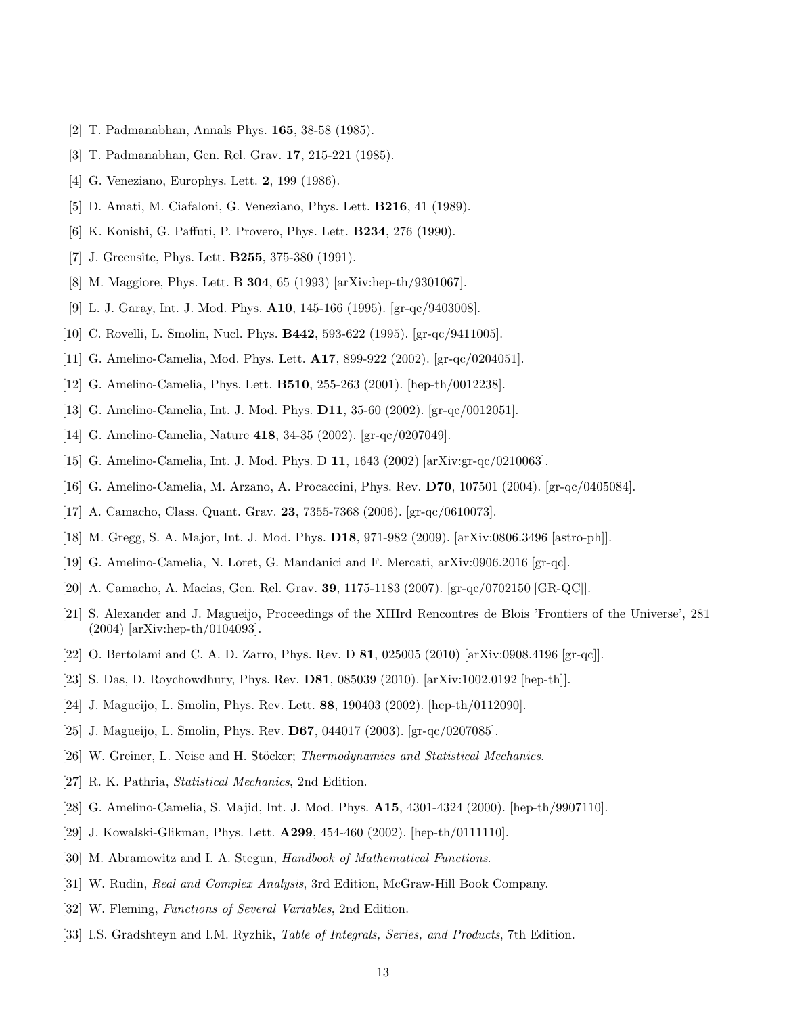- [2] T. Padmanabhan, Annals Phys. 165, 38-58 (1985).
- [3] T. Padmanabhan, Gen. Rel. Grav. 17, 215-221 (1985).
- [4] G. Veneziano, Europhys. Lett. **2**, 199 (1986).
- [5] D. Amati, M. Ciafaloni, G. Veneziano, Phys. Lett. B216, 41 (1989).
- [6] K. Konishi, G. Paffuti, P. Provero, Phys. Lett. B234, 276 (1990).
- [7] J. Greensite, Phys. Lett. **B255**, 375-380 (1991).
- [8] M. Maggiore, Phys. Lett. B 304, 65 (1993) [arXiv:hep-th/9301067].
- [9] L. J. Garay, Int. J. Mod. Phys. A10, 145-166 (1995). [gr-qc/9403008].
- [10] C. Rovelli, L. Smolin, Nucl. Phys. B442, 593-622 (1995). [gr-qc/9411005].
- [11] G. Amelino-Camelia, Mod. Phys. Lett. A17, 899-922 (2002). [gr-qc/0204051].
- [12] G. Amelino-Camelia, Phys. Lett. B510, 255-263 (2001). [hep-th/0012238].
- [13] G. Amelino-Camelia, Int. J. Mod. Phys. D11, 35-60 (2002). [gr-qc/0012051].
- [14] G. Amelino-Camelia, Nature 418, 34-35 (2002). [gr-qc/0207049].
- [15] G. Amelino-Camelia, Int. J. Mod. Phys. D 11, 1643 (2002) [arXiv:gr-qc/0210063].
- [16] G. Amelino-Camelia, M. Arzano, A. Procaccini, Phys. Rev. D70, 107501 (2004). [gr-qc/0405084].
- [17] A. Camacho, Class. Quant. Grav. 23, 7355-7368 (2006). [gr-qc/0610073].
- [18] M. Gregg, S. A. Major, Int. J. Mod. Phys. D18, 971-982 (2009). [arXiv:0806.3496 [astro-ph]].
- [19] G. Amelino-Camelia, N. Loret, G. Mandanici and F. Mercati, arXiv:0906.2016 [gr-qc].
- [20] A. Camacho, A. Macias, Gen. Rel. Grav. 39, 1175-1183 (2007). [gr-qc/0702150 [GR-QC]].
- [21] S. Alexander and J. Magueijo, Proceedings of the XIIIrd Rencontres de Blois 'Frontiers of the Universe', 281 (2004) [arXiv:hep-th/0104093].
- [22] O. Bertolami and C. A. D. Zarro, Phys. Rev. D 81, 025005 (2010) [arXiv:0908.4196 [gr-qc]].
- [23] S. Das, D. Roychowdhury, Phys. Rev. D81, 085039 (2010). [arXiv:1002.0192 [hep-th]].
- [24] J. Magueijo, L. Smolin, Phys. Rev. Lett. 88, 190403 (2002). [hep-th/0112090].
- [25] J. Magueijo, L. Smolin, Phys. Rev. D67, 044017 (2003). [gr-qc/0207085].
- [26] W. Greiner, L. Neise and H. Stöcker; Thermodynamics and Statistical Mechanics.
- [27] R. K. Pathria, Statistical Mechanics, 2nd Edition.
- [28] G. Amelino-Camelia, S. Majid, Int. J. Mod. Phys. A15, 4301-4324 (2000). [hep-th/9907110].
- [29] J. Kowalski-Glikman, Phys. Lett. A299, 454-460 (2002). [hep-th/0111110].
- [30] M. Abramowitz and I. A. Stegun, Handbook of Mathematical Functions.
- [31] W. Rudin, Real and Complex Analysis, 3rd Edition, McGraw-Hill Book Company.
- [32] W. Fleming, Functions of Several Variables, 2nd Edition.
- [33] I.S. Gradshteyn and I.M. Ryzhik, *Table of Integrals, Series, and Products*, 7th Edition.